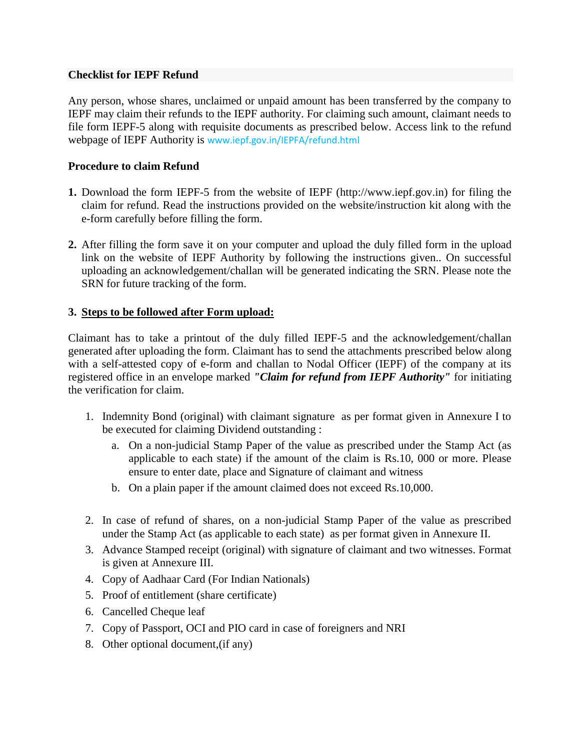## **Checklist for IEPF Refund**

Any person, whose shares, unclaimed or unpaid amount has been transferred by the company to IEPF may claim their refunds to the IEPF authority. For claiming such amount, claimant needs to file form IEPF-5 along with requisite documents as prescribed below. Access link to the refund webpage of IEPF Authority is [www.iepf.gov.in/IEPFA/refund.html](http://www.iepf.gov.in/IEPFA/refund.html) 

# **Procedure to claim Refund**

- **1.** Download the form IEPF-5 from the website of IEPF [\(http://www.iepf.gov.in\)](http://www.iepf.gov.in/) for filing the claim for refund. Read the instructions provided on the website/instruction kit along with the e-form carefully before filling the form.
- **2.** After filling the form save it on your computer and upload the duly filled form in the upload link on the website of IEPF Authority by following the instructions given.. On successful uploading an acknowledgement/challan will be generated indicating the SRN. Please note the SRN for future tracking of the form.

## **3. Steps to be followed after Form upload:**

Claimant has to take a printout of the duly filled IEPF-5 and the acknowledgement/challan generated after uploading the form. Claimant has to send the attachments prescribed below along with a self-attested copy of e-form and challan to Nodal Officer (IEPF) of the company at its registered office in an envelope marked *"Claim for refund from IEPF Authority"* for initiating the verification for claim.

- 1. Indemnity Bond (original) with claimant signature as per format given in Annexure I to be executed for claiming Dividend outstanding :
	- a. On a non-judicial Stamp Paper of the value as prescribed under the Stamp Act (as applicable to each state) if the amount of the claim is Rs.10, 000 or more. Please ensure to enter date, place and Signature of claimant and witness
	- b. On a plain paper if the amount claimed does not exceed Rs.10,000.
- 2. In case of refund of shares, on a non-judicial Stamp Paper of the value as prescribed under the Stamp Act (as applicable to each state) as per format given in Annexure II.
- 3. Advance Stamped receipt (original) with signature of claimant and two witnesses. Format is given at Annexure III.
- 4. Copy of Aadhaar Card (For Indian Nationals)
- 5. Proof of entitlement (share certificate)
- 6. Cancelled Cheque leaf
- 7. Copy of Passport, OCI and PIO card in case of foreigners and NRI
- 8. Other optional document,(if any)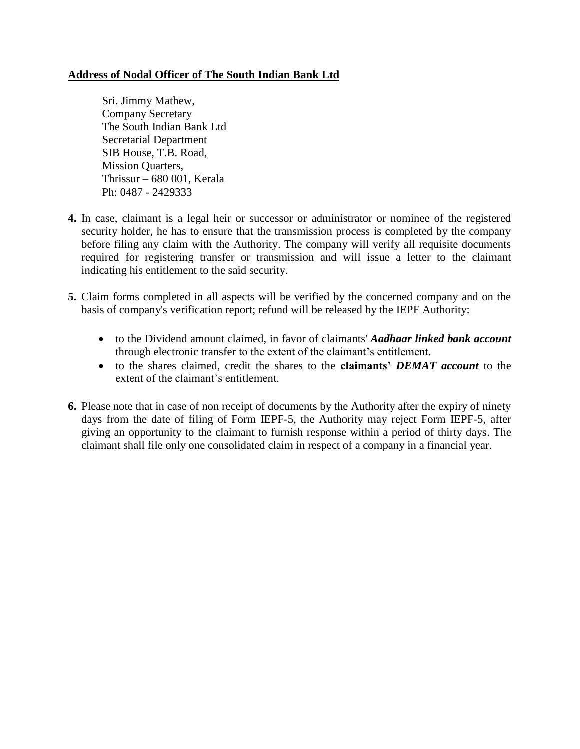# **Address of Nodal Officer of The South Indian Bank Ltd**

Sri. Jimmy Mathew, Company Secretary The South Indian Bank Ltd Secretarial Department SIB House, T.B. Road, Mission Quarters, Thrissur – 680 001, Kerala Ph: 0487 - 2429333

- **4.** In case, claimant is a legal heir or successor or administrator or nominee of the registered security holder, he has to ensure that the transmission process is completed by the company before filing any claim with the Authority. The company will verify all requisite documents required for registering transfer or transmission and will issue a letter to the claimant indicating his entitlement to the said security.
- **5.** Claim forms completed in all aspects will be verified by the concerned company and on the basis of company's verification report; refund will be released by the IEPF Authority:
	- to the Dividend amount claimed, in favor of claimants' *Aadhaar linked bank account* through electronic transfer to the extent of the claimant's entitlement.
	- to the shares claimed, credit the shares to the **claimants'** *DEMAT account* to the extent of the claimant's entitlement.
- **6.** Please note that in case of non receipt of documents by the Authority after the expiry of ninety days from the date of filing of Form IEPF-5, the Authority may reject Form IEPF-5, after giving an opportunity to the claimant to furnish response within a period of thirty days. The claimant shall file only one consolidated claim in respect of a company in a financial year.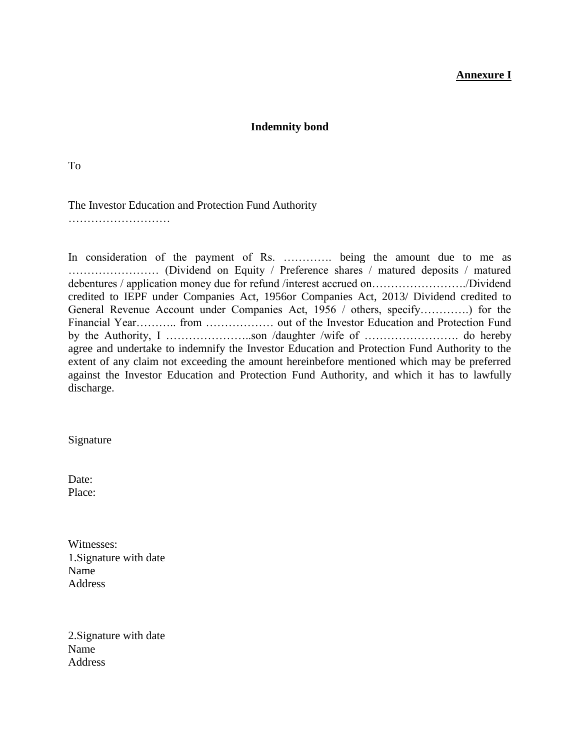## **Annexure I**

### **Indemnity bond**

To

The Investor Education and Protection Fund Authority

………………………

In consideration of the payment of Rs. ………….. being the amount due to me as …………………… (Dividend on Equity / Preference shares / matured deposits / matured debentures / application money due for refund /interest accrued on……………………./Dividend credited to IEPF under Companies Act, 1956or Companies Act, 2013/ Dividend credited to General Revenue Account under Companies Act, 1956 / others, specify………….) for the Financial Year……….. from ……………… out of the Investor Education and Protection Fund by the Authority, I …………………..son /daughter /wife of ……………………. do hereby agree and undertake to indemnify the Investor Education and Protection Fund Authority to the extent of any claim not exceeding the amount hereinbefore mentioned which may be preferred against the Investor Education and Protection Fund Authority, and which it has to lawfully discharge.

Signature

Date: Place:

Witnesses: 1.Signature with date Name Address

2.Signature with date Name Address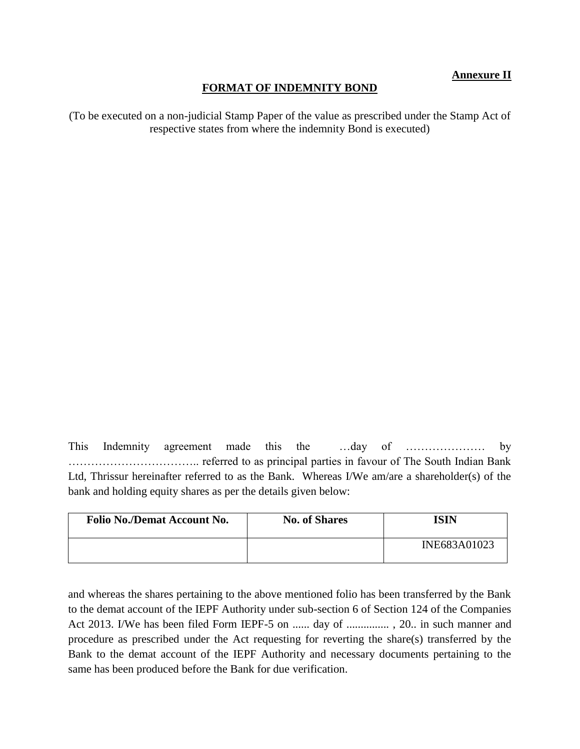# **Annexure II**

### **FORMAT OF INDEMNITY BOND**

(To be executed on a non-judicial Stamp Paper of the value as prescribed under the Stamp Act of respective states from where the indemnity Bond is executed)

This Indemnity agreement made this the …day of ………………… by …………………………….. referred to as principal parties in favour of The South Indian Bank Ltd, Thrissur hereinafter referred to as the Bank. Whereas I/We am/are a shareholder(s) of the bank and holding equity shares as per the details given below:

| <b>Folio No./Demat Account No.</b> | <b>No. of Shares</b> | ISIN         |
|------------------------------------|----------------------|--------------|
|                                    |                      | INE683A01023 |

and whereas the shares pertaining to the above mentioned folio has been transferred by the Bank to the demat account of the IEPF Authority under sub-section 6 of Section 124 of the Companies Act 2013. I/We has been filed Form IEPF-5 on ...... day of ................, 20.. in such manner and procedure as prescribed under the Act requesting for reverting the share(s) transferred by the Bank to the demat account of the IEPF Authority and necessary documents pertaining to the same has been produced before the Bank for due verification.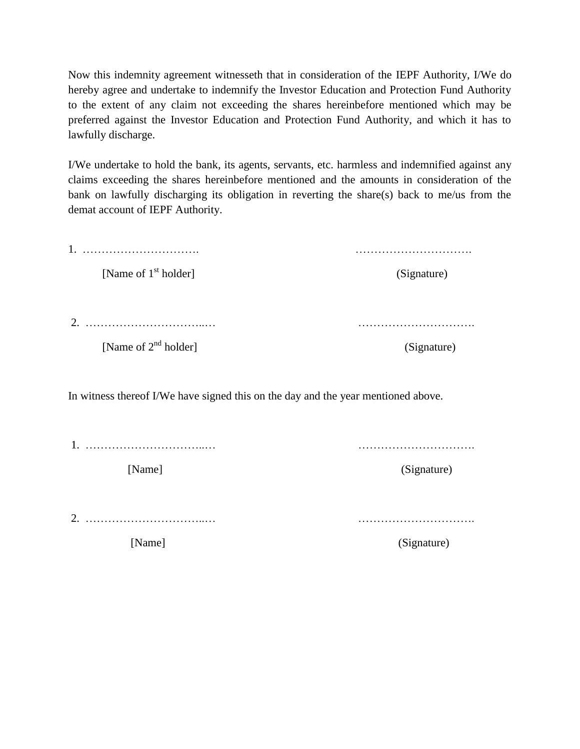Now this indemnity agreement witnesseth that in consideration of the IEPF Authority, I/We do hereby agree and undertake to indemnify the Investor Education and Protection Fund Authority to the extent of any claim not exceeding the shares hereinbefore mentioned which may be preferred against the Investor Education and Protection Fund Authority, and which it has to lawfully discharge.

I/We undertake to hold the bank, its agents, servants, etc. harmless and indemnified against any claims exceeding the shares hereinbefore mentioned and the amounts in consideration of the bank on lawfully discharging its obligation in reverting the share(s) back to me/us from the demat account of IEPF Authority.

| 1.                                                                                |             |
|-----------------------------------------------------------------------------------|-------------|
| [Name of 1 <sup>st</sup> holder]                                                  | (Signature) |
|                                                                                   |             |
| 2.                                                                                |             |
| [Name of $2^{nd}$ holder]                                                         | (Signature) |
|                                                                                   |             |
| In witness thereof I/We have signed this on the day and the year mentioned above. |             |
|                                                                                   |             |
|                                                                                   |             |
| [Name]                                                                            | (Signature) |
|                                                                                   |             |
| 2.                                                                                |             |
| [Name]                                                                            | (Signature) |
|                                                                                   |             |